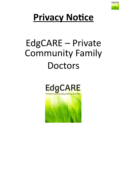

## **Privacy Notice**

# EdgCARE – Private Community Family **Doctors**



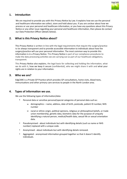

#### **1. Introduction**

We are required to provide you with this Privacy Notice by Law. It explains how we use the personal and healthcare information we collect, store and hold about you. If you are unclear about how we process or use your personal and healthcare information, or you have any questions about this Privacy Notice or any other issue regarding your personal and healthcare information, then please do contact our Data Protection Officer (details below).

#### **2. What is this Privacy Notice about?**

This Privacy Notice is written in line with the legal requirements that require the surgery/practice to be always transparent and to provide accessible information to individuals about how the surgery/practice will use your personal information. The most common way to provide this information is in a Privacy Notice. This Privacy Notice is part of our compliance procedures to make the data processing activities we are carrying out as part of our healthcare obligations, transparent.

This Privacy Notice also explains, the legal basis for collecting and holding the information, what we do with it, how we keep it secure (confidential), who we might share it with and what your rights are in relation to your information.

#### **3. Who we are?**

EdgCARE is a Private GP Practice which provides GP consultations, home visits, blood tests, immunisations and other primary care services to people in the North London area.

#### **4. Types of information we use.**

We use the following types of information/data:

- Personal data or sensitive personal/special categories of personal data suchas:
	- $\triangleright$  demographics name, address, date of birth, postcode, patient ID number, NHS number
	- $\triangleright$  racial or ethnic origin, political opinions, religious or philosophical beliefs, or trade union membership, genetic data, biometric data for the purpose of uniquely identifying a natural person, medical/health data, sexual life or sexual orientation data.
- Pseudonymised about individuals but with identifying details (such as name or NHS number) replaced with a unique code.
- Anonymised about individuals but with identifying details removed.
- Aggregated anonymised information grouped together so that it doesn't identify individuals.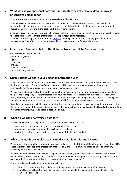## **5. What we use your personal data and special categories of personal data (known as or sensitive personal) for**

We use and share information about you in several ways. These include:

*Primary uses -* information from your GP medical record which can be made available to other healthcare organisations, including doctors, nurses and care professionals in order to help them make the best-informed decision, and provide you with the best possible direct care delivery.

*Secondary uses -* information from your GP medical record involves extracting identifiable data and (usually) sharing that data with other healthcare organisations, for the purpose of indirect care. Examples include using your information for [research](https://www.hra.nhs.uk/planning-and-improving-research/policies-standards-legislation/data-protection-and-information-governance/), auditing, and healthcare planning (population health management). EdgCARE is not currently engaged in processing your data for secondary uses.

## **6. Identity and Contact details of the Data Controller and Data ProtectionOfficer**

Data Protection Officer EdgCARE Rear of 96 Edgware Way Edgware Middlesex HA8 8JS Tel: 020 3818 9240 Email: [info@edgcare.net](mailto:info@edgcare.net)

## **7. Organisations we share your personal information with**

We share information about you with other GPs, NHS acute or mental health Trusts, Independent sector (Private Healthcare) hospitals, Consultants (Private sector and NHS), local authority, community health providers, pharmacists, for the purposes of direct and indirect care delivery of care.

We are required under the law to provide you with the following information how we process your personal data, the purpose of proposing, recipient/categories of your personal data, the identity of our Data Protection Officer (DPO), how long we retain personal information about you, the legal basis and justification for the processing, and your right to view, request access copies of your personal information, or object to the processing.

To understand more the lawful basis of processing that the practice adheres to, see the appendix at the end of this document for a table of the organisations we share information about you. **In all cases, the Data Controller and Data Protection Officer (DPO) are as listed in section 6 above.**

#### **8. What do we use anonymised data for?**

We use anonymised data to plan health care services. Specifically, we use it to:

- check the quality and efficiency of the health services we provide;
- prepare performance reports on the services we provide and,
- review the healthcare we provide in order they are of the highest standard.

#### **9. What safeguards are in place to ensure data that identifies me issecure?**

We only use information that may identify you in accordance with the EU General Data Protection Regulation 2016. These Legislation requires us to process personal data only if there is a lawful basis for doing so and that any processing must be fair and lawful.

We also ensure the information we hold is kept in secure locations, restrict access to information to authorised personnel only, protect personal and confidential information held on equipment such as laptops with encryption (which masks data so that unauthorised users cannot see or make sense of it).

Our appropriate technical and security measures include:

- The ability to ensure ongoing confidentiality, integrity, availability and resilience of our systems;
- the ability to quickly restore availability and access to personal information in the event of a physical or technical incident; and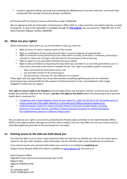• a process regularly testing, assessing and evaluating the effectiveness of security measures, and ensure they comply with the concept of privacy by design and default.

All Practice staff are trained to ensure information is kept confidential.

We are registered with the Information Commissioner's Office (ICO) as a data controller and collects data for a variety of purposes. A copy of the registration is available through the **[ICO website](https://ico.org.uk/esdwebpages/search)**. You can search by "EdgCARE Ltd" or ICO Data Protection Register number ZA004498.

## **10. What are your rights?**

Where information from which you can be identified is held, you have the:

- Right of access to view or request copies of the records
- 
- Right to rectification of inaccurate personal data or special categories of personal data<br>• Right to restriction of the processing of your data where accuracy of the data is contested, processing is unlawful or where we no longer need the data for the purposes of the processing
- Right to object to any automated individual decision-making
- Right to data portability by requesting the data which you provided to us (not data generated by us) in a structured, commonly used machine readable format. Your right to portability applies only where:
	- o data is processed by automated means, and
	- o you provided consent to the processing or,
	- o the processing is necessary for the fulfilment of a contract

These rights will only apply where we cannot demonstrate compelling legitimate grounds for continued processing of your personal data for the purposes of direct provision of care, and compliance with a legal obligation to which we are subject.

**Your right to erasure (right to be forgotten)** will only apply where you had given 'consent' to process your personal health data and later withdrew the consent, **and does not apply to the extent** where the processing of your personal health data is necessary for:

- [Compliance with a legal obligation which we are subject to, under the UK law or, for the performance of](https://gdpr-info.eu/art-6-gdpr/)  [a task carried out in the public interest or, in the exercise of official authority vested on](https://gdpr-info.eu/art-6-gdpr/) us;
- [medical purposes and/or for reasons of public interest in the area of public health;](https://gdpr-info.eu/art-9-gdpr/) [archiving](https://gdpr-info.eu/art-17-gdpr/)  [purposes in the public interest, scientific or historical research purposes or statistical](https://gdpr-info.eu/art-17-gdpr/) purposes; [the establishment, exercise or defence of legal claims](https://gdpr-info.eu/art-17-gdpr/)

You can exercise your rights at any time by contacting the Practice (data controller) or the Data Protection Officer (DPO) at the address below, although we will first need to explain how this may affect the care you receive and any overriding legitimate grounds for the processing that may apply.

## **11. Gaining access to the data we hold about you**

You have the right to see or have a copy of personal data we hold that can identify you. You do not need to give a reason to see your data. However, some information may be withheld under some exceptional circumstances.

If you want to access your personal information you must do so in writing by **completing our** Subject Access Request (SAR) form which is available at [www.edgcare.net](http://www.edgcare.net/) and send it to:

Data Protection Officer EdgCARE Private Community Family Doctors Rear of 96 Edgware Way Edgware Middlesex HA8 8JS Tel: 020 3818 9240 Email: [info@edgcare.net](mailto:info@edgcare.net)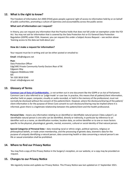## **12. What is the right to know?**

The Freedom of Information Act 2000 (FOIA) gives people a general right of access to information held by or on behalf of public authorities, promoting a culture of openness and accountability across the public sector.

#### **What sort of information can I request?**

In theory, you can request any information that the Practice holds that does not fall under an exemption under the FOI Act. You may not ask for information that is covered by the Data Protection Act or EU General Data Protection Regulation (GDPR) under FOIA. However, you can request this under a Subject Access Request – see section above 'Gaining access to the data we hold about you'.

#### **How do I make a request for information?**

Your request must be in writing and can be either posted or emailed to:

**Email**: [info@edgcare.net](mailto:info@edgcare.net)

**Post:**  Data Protection Officer EdgCARE Private Community Family Doctors Rear of 96 Edgware Way Edgware Middlesex HA8 8JS Tel: 020 3818 9240 Email: [info@edgcare.net](mailto:info@edgcare.net)

#### **13. Glossary of Terms**

**[Common Law of Duty of Confidentiality](https://www.health-ni.gov.uk/articles/common-law-duty-confidentiality)** - is not written out in one document like the GDPR or an Act of Parliament. Common Law is also referred to as 'judge-made' or case law. In practice, this means that all patient/client information, whether held on paper, computer, visually or audio recorded, or held in the memory of the professional, must not normally be disclosed without the consent of the patient/client. However, where the disclosure/sharing of the patient/ client information is for the purpose of Direct Care consent to such disclosure/sharing may be implied where it is informed, given there is a legitimate relationship between the patient/client and the health professional.

**Personal Data -** means any information relating to an identified or identifiable natural person ('data subject'); an identifiable natural person is one who can be identified, directly or indirectly, in particular by reference to an identifier such as a name, an identification number, location data, an online identifier or to one or more factors specific to the physical, physiological, genetic, mental, economic, cultural or social identity of that natural person.

**Special Categories of Personal Data –** data revealing racial or ethnic origin, political opinions, religious or philosophical beliefs, or trade union membership, and the processing of genetic data, biometric data for the purpose of uniquely identifying a natural person, data concerning health or data concerning a natural person's sex life or sexual orientation shall be prohibited.

## **14. Where to find our Privacy Notice**

You may find a copy of this Privacy Notice in the Surgery's reception, on our website, or a copy may be provided on request.

## **15. Changes to our Privacy Notice**

We regularly review and update our Privacy Notice. This Privacy Notice was last updated on 1<sup>st</sup> September 2021.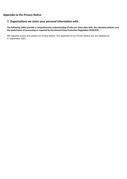## **Appendix to the Privacy Notice**

## **7. Organisations we share your personal information with**

**The following tables provide a comprehensive understanding of who we share data with, the retention policies and the lawful basis of processing as required by the General Data Protection Regulation 2016/679.**

We regularly review and update our Privacy Notice. This Appendix to our Privacy Notice was last updated on 1st September 2021.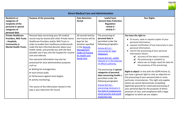

**EdgCARE**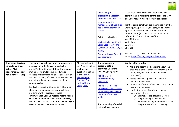

|                                                                                                               |                                                                                                                                                                                                                                                                                                                                                                                                                                                                                                                                                                                                                                                                                     |                                                                                                                                                                                               | Article 9 (2) (h) -<br>processing is necessary<br>for medical or social care<br>treatment or, the<br>management of health or<br>social care systems and<br>services.<br><b>Related Legislation:</b><br>Section 251B Health and<br><b>Social Care (Safety and</b><br>Quality Act) 2015 (Duty to<br>Share);<br>Common Law of Duty of<br>Confidentiality | If you wish to exercise any of your rights please<br>contact the Practice (data controller) or the DPO<br>and your request will be carefully considered.<br>Right to complain: If you are dissatisfied with the<br>way EdgCARE processes your data, you have the<br>right to appeal/complain to the Information<br>Commissioner (IC). The IC can be contacted at:<br><b>Information Commissioner's Office</b><br>Wycliffe House<br><b>Water Lane</b><br>Wilmslow<br>Cheshire<br>Tel: 0303 123 1113 or 01625 545 745<br>Email: https://ico.org.uk/global/contact-us/                                     |
|---------------------------------------------------------------------------------------------------------------|-------------------------------------------------------------------------------------------------------------------------------------------------------------------------------------------------------------------------------------------------------------------------------------------------------------------------------------------------------------------------------------------------------------------------------------------------------------------------------------------------------------------------------------------------------------------------------------------------------------------------------------------------------------------------------------|-----------------------------------------------------------------------------------------------------------------------------------------------------------------------------------------------|-------------------------------------------------------------------------------------------------------------------------------------------------------------------------------------------------------------------------------------------------------------------------------------------------------------------------------------------------------|---------------------------------------------------------------------------------------------------------------------------------------------------------------------------------------------------------------------------------------------------------------------------------------------------------------------------------------------------------------------------------------------------------------------------------------------------------------------------------------------------------------------------------------------------------------------------------------------------------|
| <b>Emergency Services</b><br>(Ambulance trusts,<br>police, A&E<br>departments, out of<br>hours services, 111) | There are circumstances when intervention is<br>necessary in order to save or protect a<br>patient's life or to prevent them from serious<br>immediate harm, for example, during a<br>collapse or diabetic coma or serious injury or<br>accident. In many of these circumstances the<br>patient may be unconscious or too ill to<br>communicate.<br>Medical professionals have a duty of care to<br>share data in emergencies to protect their<br>patients or other persons. In these<br>circumstances, your GP medical record will be<br>shared with emergency healthcare services,<br>the police or fire service in order to enable you<br>receive the best treatment or service. | All records held by<br>the Practice will be<br>kept for the<br>duration specified<br>in the Records<br><b>Management</b><br><b>Codes of Practice</b><br>for Health and<br><b>Social Care.</b> | The processing of<br>personal data is<br>permitted under the<br>following paragraphs:<br>Article 6(1) (c) -<br>processing for legal<br>obligation;<br>Article $6(1)$ (d) – the<br>processing is necessary in<br>order to protect the vital<br>interests of the data<br>subject<br>The processing of special<br>categories of personal                 | You have the right to:<br>Make pre-determined decisions about the<br>type and extent of care you will receive in an<br>emergency, these are known as "Advance<br>Directives";<br>• access, view or request copies of your<br>personal information;<br>• request rectification of any inaccuracy in your<br>personal information;<br>• restrict the processing of your personal<br>information where:<br>$\mathcal V$ accuracy of the data is contested,<br>$\mathbf{\checkmark}$ the processing is unlawful or,<br>$\mathcal V$ where we no longer need the data for<br>the purposes of the processing. |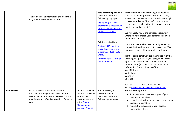

|                    | The source of the information shared in this<br>way is your electronic GP record.                                                                                                          |                                                                                                                                                      | data concerning health is<br>permitted under the<br>following paragraph:<br>Article $9(2)(C) -$ the<br>processing is necessary to<br>protect the vital interests<br>of the data subject | Right to object: You have the right to object to<br>some or all of your personal information being<br>shared with the recipients. You also have the right<br>to have an "Advance Directive" placed in your<br>records and brought to the attention of relevant<br>healthcare workers or staff.<br>We will notify you at the earliest opportunity<br>where we have shared your personal data in an<br>emergency situation.                                                                                                                                           |
|--------------------|--------------------------------------------------------------------------------------------------------------------------------------------------------------------------------------------|------------------------------------------------------------------------------------------------------------------------------------------------------|-----------------------------------------------------------------------------------------------------------------------------------------------------------------------------------------|---------------------------------------------------------------------------------------------------------------------------------------------------------------------------------------------------------------------------------------------------------------------------------------------------------------------------------------------------------------------------------------------------------------------------------------------------------------------------------------------------------------------------------------------------------------------|
|                    |                                                                                                                                                                                            |                                                                                                                                                      | <b>Related Legislation:</b><br>Section 251B Health and<br><b>Social Care (Safety and</b><br>Quality Act) 2015 (Duty to<br>Share);<br><b>Common Law of Duty of</b><br>Confidentiality    | If you wish to exercise any of your rights please<br>contact the Practice (data controller) or the DPO<br>and your request will be carefully considered.<br>Right to complain: If you are dissatisfied with the<br>way EdgCARE processes your data, you have the<br>right to appeal/complain to the Information<br>Commissioner (IC). The IC can be contacted at:<br>Information Commissioner's Office<br><b>Wycliffe House</b><br><b>Water Lane</b><br>Wilmslow<br>Cheshire<br>Tel: 0303 123 1113 or 01625 545 745<br>Email: https://ico.org.uk/global/contact-us/ |
| <b>Your NHS GP</b> | On occasion we made need to share<br>information from your electronic medical<br>record with your registered NHS GP. This is to<br>enable safe and effective provision of medical<br>care. | All records held by<br>the Practice will be<br>kept for the<br>duration specified<br>in the Records<br><b>Management</b><br><b>Codes of Practice</b> | The processing of<br>personal data is<br>permitted under the<br>following paragraphs:                                                                                                   | You have the right to:<br>• To access, view or request copies of your<br>personal information;<br>• request rectification of any inaccuracy in your<br>personal information;<br>• restrict the processing of your personal<br>information where:                                                                                                                                                                                                                                                                                                                    |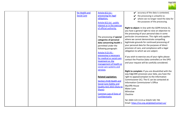

|  | for Health and     | Article 6(1) (c) -                | $\mathcal V$ accuracy of the data is contested,     |
|--|--------------------|-----------------------------------|-----------------------------------------------------|
|  | <b>Social Care</b> | processing for legal              | the processing is unlawful or,                      |
|  |                    | obligation;                       | $\mathcal V$ where we no longer need the data for   |
|  |                    | Article 6(1) (e) - public         | the purposes of the processing.                     |
|  |                    | interest or in the exercise       |                                                     |
|  |                    | of official authority.            | Right to object: In line with the GDPR Article 21,  |
|  |                    |                                   | you have a general right to raise an objection to   |
|  |                    |                                   | the processing of your personal data in some        |
|  |                    |                                   | particular circumstances. This right only applies   |
|  |                    | The processing of special         | where we cannot demonstrate compelling              |
|  |                    | categories of personal            | legitimate grounds for continued processing of      |
|  |                    | data concerning health is         | your personal data for the purposes of direct       |
|  |                    | permitted under the               | provision of care, and compliance with a legal      |
|  |                    | following paragraph:              | obligation to which we are subject.                 |
|  |                    | Article 9 (2) (h) -               |                                                     |
|  |                    | processing is necessary           | If you wish to exercise any of your rights please   |
|  |                    | for medical or social care        | contact the Practice (data controller) or the DPO   |
|  |                    | treatment or, the                 |                                                     |
|  |                    | management of health or           | and your request will be carefully considered.      |
|  |                    | social care systems and           |                                                     |
|  |                    | services.                         | Right to complain: If you are dissatisfied with the |
|  |                    |                                   | way EdgCARE processes your data, you have the       |
|  |                    | <b>Related Legislation:</b>       | right to appeal/complain to the Information         |
|  |                    |                                   | Commissioner (IC). The IC can be contacted at:      |
|  |                    | <b>Section 251B Health and</b>    | Information Commissioner's Office                   |
|  |                    | <b>Social Care (Safety and</b>    |                                                     |
|  |                    | <b>Quality Act) 2015 (Duty to</b> | <b>Wycliffe House</b>                               |
|  |                    | Share);                           | <b>Water Lane</b>                                   |
|  |                    | <b>Common Law of Duty of</b>      | Wilmslow                                            |
|  |                    | Confidentiality                   | Cheshire                                            |
|  |                    |                                   |                                                     |
|  |                    |                                   | Tel: 0303 123 1113 or 01625 545 745                 |
|  |                    |                                   | Email: https://ico.org.uk/global/contact-us/        |
|  |                    |                                   |                                                     |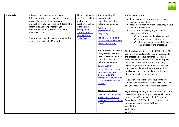

| <b>Pharmacists</b> | It is occasionally necessary to share                                                                                                                                                                                                                                                                                           | All records held by                                                                                                                                                   | The processing of                                                                                                                                                                                                                                                                                                                                                                                                                            | You have the right to:                                                                                                                                                                                                                                                                                                                                                                                                                                                                                                                                                                                                                                                                                                                                                                                                                                                                                          |
|--------------------|---------------------------------------------------------------------------------------------------------------------------------------------------------------------------------------------------------------------------------------------------------------------------------------------------------------------------------|-----------------------------------------------------------------------------------------------------------------------------------------------------------------------|----------------------------------------------------------------------------------------------------------------------------------------------------------------------------------------------------------------------------------------------------------------------------------------------------------------------------------------------------------------------------------------------------------------------------------------------|-----------------------------------------------------------------------------------------------------------------------------------------------------------------------------------------------------------------------------------------------------------------------------------------------------------------------------------------------------------------------------------------------------------------------------------------------------------------------------------------------------------------------------------------------------------------------------------------------------------------------------------------------------------------------------------------------------------------------------------------------------------------------------------------------------------------------------------------------------------------------------------------------------------------|
|                    | information with a Pharmacist in order to<br>ensure that you are being prescribed<br>medication safely and in the right doses. This<br>information usually pertains to your<br>medications but may also relate to your<br>medical history.<br>The source of the information shared in this<br>way is your electronic GP record. | the Practice will be<br>kept for the<br>duration specified<br>in the Records<br><b>Management</b><br><b>Codes of Practice</b><br>for Health and<br><b>Social Care</b> | personal data is<br>permitted under the<br>following paragraphs:<br>Article 6(1) (c) -<br>processing for legal<br>obligation;<br>Article 6(1) (e) - public<br>interest or in the exercise<br>of official authority.                                                                                                                                                                                                                          | • To access, view or request copies of your<br>personal information;<br>• request rectification of any inaccuracy in your<br>personal information;<br>• restrict the processing of your personal<br>information where:<br>$\swarrow$ accuracy of the data is contested,<br>the processing is unlawful or,<br>$\mathcal V$ where we no longer need the data for<br>the purposes of the processing.                                                                                                                                                                                                                                                                                                                                                                                                                                                                                                               |
|                    |                                                                                                                                                                                                                                                                                                                                 |                                                                                                                                                                       | The processing of special<br>categories of personal<br>data concerning health is<br>permitted under the<br>following paragraph:<br>Article 9 (2) (h) -<br>processing is necessary<br>for medical or social care<br>treatment or, the<br>management of health or<br>social care systems and<br>services.<br><b>Related Legislation:</b><br>Section 251B Health and<br><b>Social Care (Safety and</b><br>Quality Act) 2015 (Duty to<br>Share); | Right to object: In line with the GDPR Article 21,<br>you have a general right to raise an objection to<br>the processing of your personal data in some<br>particular circumstances. This right only applies<br>where we cannot demonstrate compelling<br>legitimate grounds for continued processing of<br>your personal data for the purposes of direct<br>provision of care, and compliance with a legal<br>obligation to which we are subject.<br>If you wish to exercise any of your rights please<br>contact the Practice (data controller) or the DPO<br>and your request will be carefully considered.<br>Right to complain: If you are dissatisfied with the<br>way EdgCARE processes your data, you have the<br>right to appeal/complain to the Information<br>Commissioner (IC). The IC can be contacted at:<br>Information Commissioner's Office<br><b>Wycliffe House</b><br>Water Lane<br>Wilmslow |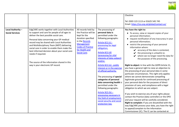

|                                             |                                                                                                                                                                                                                                                                                                                                                                                                                                                                                                |                                                                                                                                                                                               |                                                                                                                                                                                                                                                                                                        | Cheshire                                                                                                                                                                                                                                                                                                                                                                                                                                                                                                                                                                                                        |
|---------------------------------------------|------------------------------------------------------------------------------------------------------------------------------------------------------------------------------------------------------------------------------------------------------------------------------------------------------------------------------------------------------------------------------------------------------------------------------------------------------------------------------------------------|-----------------------------------------------------------------------------------------------------------------------------------------------------------------------------------------------|--------------------------------------------------------------------------------------------------------------------------------------------------------------------------------------------------------------------------------------------------------------------------------------------------------|-----------------------------------------------------------------------------------------------------------------------------------------------------------------------------------------------------------------------------------------------------------------------------------------------------------------------------------------------------------------------------------------------------------------------------------------------------------------------------------------------------------------------------------------------------------------------------------------------------------------|
|                                             |                                                                                                                                                                                                                                                                                                                                                                                                                                                                                                |                                                                                                                                                                                               |                                                                                                                                                                                                                                                                                                        | Tel: 0303 123 1113 or 01625 545 745<br>Email: https://ico.org.uk/global/contact-us/                                                                                                                                                                                                                                                                                                                                                                                                                                                                                                                             |
| Local Authority -<br><b>Social Services</b> | EdgCARE works together with Local Authorities<br>to support and care for people of all ages to<br>deliver the best possible social care.<br>Personal data concerning your GP medical<br>record may be shared with Local Authorities<br>and Multidisciplinary Team (MDT) delivering<br>social care in order to enable them make the<br>best informed decision about your social care<br>needs if required.<br>The source of the information shared in this<br>way is your electronic GP record. | All records held by<br>the Practice will be<br>kept for the<br>duration specified<br>in the Records<br><b>Management</b><br><b>Codes of Practice</b><br>for Health and<br><b>Social Care.</b> | The processing of<br>personal data is<br>permitted under the<br>following paragraphs:<br>Article 6(1) (c) -<br>processing for legal<br>obligation;<br>Article 6(1) (d)<br>(processing for vital<br>interests of data subject)<br>and/or;<br>Article 6(1) (e) - public                                  | You have the right to:<br>• To access, view or request copies of your<br>personal information;<br>• request rectification of any inaccuracy in your<br>personal information;<br>• restrict the processing of your personal<br>information where:<br>$\swarrow$ accuracy of the data is contested,<br>the processing is unlawful or,<br>where we no longer need the data for<br>the purposes of the processing.<br>Right to object: In line with the GDPR Article 21,                                                                                                                                            |
|                                             |                                                                                                                                                                                                                                                                                                                                                                                                                                                                                                |                                                                                                                                                                                               | interest or in the exercise<br>of official authority.<br>The processing of special<br>categories of personal<br>data concerning health is<br>permitted under the<br>following paragraphs:<br>Article $9(2)$ (b) -<br>processing necessary in<br>the field of employment,<br>social security and social | you have a general right to raise an objection to<br>the processing of your personal data in some<br>particular circumstances. This right only applies<br>where we cannot demonstrate compelling<br>legitimate grounds for continued processing of<br>your personal data for the purposes of direct<br>provision of care, and compliance with a legal<br>obligation to which we are subject.<br>If you wish to exercise any of your rights please<br>contact the Practice (data controller) or the DPO<br>and your request will be carefully considered.<br>Right to complain: If you are dissatisfied with the |
|                                             |                                                                                                                                                                                                                                                                                                                                                                                                                                                                                                |                                                                                                                                                                                               | protection law.                                                                                                                                                                                                                                                                                        | way EdgCARE process your data, you have the right<br>to appeal/complain to the Information<br>Commissioner (IC). The IC can be contacted at:                                                                                                                                                                                                                                                                                                                                                                                                                                                                    |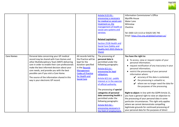

|                   |                                                                                                                                                                                                                                                                                                                                                                                                                      |                                                                                                                                                                                              | Article 9 (2) (h) -<br>processing is necessary<br>for medical or social care<br>treatment or, the<br>management of health or<br>social care systems and<br>services.<br><b>Related Legislation:</b><br>Section 251B Health and<br><b>Social Care (Safety and</b><br><b>Quality Act) 2015 (Duty to</b><br>Share)                                                                                                                                            | Information Commissioner's Office<br><b>Wycliffe House</b><br>Water Lane<br>Wilmslow<br>Cheshire<br>Tel: 0303 123 1113 or 01625 545 745<br>Email: https://ico.org.uk/global/contact-us/                                                                                                                                                                                                                                                                                                                                                                                                                                                                                                                                                                                                         |
|-------------------|----------------------------------------------------------------------------------------------------------------------------------------------------------------------------------------------------------------------------------------------------------------------------------------------------------------------------------------------------------------------------------------------------------------------|----------------------------------------------------------------------------------------------------------------------------------------------------------------------------------------------|------------------------------------------------------------------------------------------------------------------------------------------------------------------------------------------------------------------------------------------------------------------------------------------------------------------------------------------------------------------------------------------------------------------------------------------------------------|-------------------------------------------------------------------------------------------------------------------------------------------------------------------------------------------------------------------------------------------------------------------------------------------------------------------------------------------------------------------------------------------------------------------------------------------------------------------------------------------------------------------------------------------------------------------------------------------------------------------------------------------------------------------------------------------------------------------------------------------------------------------------------------------------|
| <b>Care Homes</b> | Personal data concerning your GP medical<br>record may be shared with Care Homes and<br>other Multidisciplinary Team (MDT) delivering<br>care in order to enable their care professionals<br>make the best informed decision about your<br>care needs, and provide you with the best<br>possible care if you visit a Care Home.<br>The source of the information shared in this<br>way is your electronic GP record. | All records held by<br>the Practice will be<br>kept for the<br>duration specified<br>in the Records<br><b>Management</b><br><b>Codes of Practice</b><br>for Health and<br><b>Social Care</b> | The processing of<br>personal data is<br>permitted under the<br>following paragraphs:<br>Article 6(1) (c) -<br>processing for legal<br>obligation;<br>Article 6(1) (e) - public<br>interest or in the exercise<br>of official authority.<br>The processing of special<br>categories of personal<br>data concerning health is<br>permitted under the<br>following paragraphs:<br>Article $9(2)$ (b) -<br>processing necessary in<br>the field of employment | You have the right to:<br>• To access, view or request copies of your<br>personal information;<br>• request rectification of any inaccuracy in your<br>personal information;<br>• restrict the processing of your personal<br>information where:<br>$\mathcal V$ accuracy of the data is contested,<br>the processing is unlawful or,<br>V<br>$\mathcal V$ where we no longer need the data for<br>the purposes of the processing.<br>Right to object: In line with the GDPR Article 21,<br>you have a general right to raise an objection to<br>the processing of your personal data in some<br>particular circumstances. This right only applies<br>where we cannot demonstrate compelling<br>legitimate grounds for continued processing of<br>your personal data for the purposes of direct |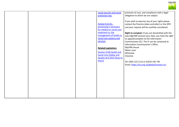

|  |  | social security and social<br>protection law.<br>Article 9 (2) (h) -<br>processing is necessary<br>for medical or social care<br>treatment or, the<br>management of health or<br>social care systems and<br>services.<br><b>Related Legislation:</b><br>Section 251B Health and<br><b>Social Care (Safety and</b><br><b>Quality Act) 2015 (Duty to</b><br>Share) | provision of care, and compliance with a legal<br>obligation to which we are subject.<br>If you wish to exercise any of your rights please<br>contact the Practice (data controller) or the DPO<br>and your request will be carefully considered.<br>Right to complain: If you are dissatisfied with the<br>way EdgCARE process your data, you have the right<br>to appeal/complain to the Information<br>Commissioner (IC). The IC can be contacted at:<br>Information Commissioner's Office<br><b>Wycliffe House</b><br>Water Lane<br>Wilmslow<br>Cheshire<br>Tel: 0303 123 1113 or 01625 545 745<br>Email: https://ico.org.uk/global/contact-us/ |
|--|--|------------------------------------------------------------------------------------------------------------------------------------------------------------------------------------------------------------------------------------------------------------------------------------------------------------------------------------------------------------------|-----------------------------------------------------------------------------------------------------------------------------------------------------------------------------------------------------------------------------------------------------------------------------------------------------------------------------------------------------------------------------------------------------------------------------------------------------------------------------------------------------------------------------------------------------------------------------------------------------------------------------------------------------|
|  |  |                                                                                                                                                                                                                                                                                                                                                                  |                                                                                                                                                                                                                                                                                                                                                                                                                                                                                                                                                                                                                                                     |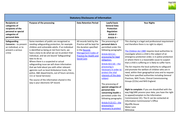

| <b>Statutory Disclosures of Information</b>                                                                         |                                                                                                                                                                                                                                                                                                                                                                                                                                                                                                                                                                                                                                                                         |                                                                                                                                                                                         |                                                                                                                                                                                                                                                                                                                                                                                                                                                                                              |                                                                                                                                                                                                                                                                                                                                                                                                                                                                                                                                                                                                                                                                                                                                                                                                                                                                                                                                                                                      |  |
|---------------------------------------------------------------------------------------------------------------------|-------------------------------------------------------------------------------------------------------------------------------------------------------------------------------------------------------------------------------------------------------------------------------------------------------------------------------------------------------------------------------------------------------------------------------------------------------------------------------------------------------------------------------------------------------------------------------------------------------------------------------------------------------------------------|-----------------------------------------------------------------------------------------------------------------------------------------------------------------------------------------|----------------------------------------------------------------------------------------------------------------------------------------------------------------------------------------------------------------------------------------------------------------------------------------------------------------------------------------------------------------------------------------------------------------------------------------------------------------------------------------------|--------------------------------------------------------------------------------------------------------------------------------------------------------------------------------------------------------------------------------------------------------------------------------------------------------------------------------------------------------------------------------------------------------------------------------------------------------------------------------------------------------------------------------------------------------------------------------------------------------------------------------------------------------------------------------------------------------------------------------------------------------------------------------------------------------------------------------------------------------------------------------------------------------------------------------------------------------------------------------------|--|
| <b>Recipients or</b><br>categories of<br>recipients of the<br>personal or special<br>categories of<br>personal data | <b>Purpose of the processing</b>                                                                                                                                                                                                                                                                                                                                                                                                                                                                                                                                                                                                                                        | <b>Data Retention Period</b>                                                                                                                                                            | <b>Lawful basis</b><br><b>General Data</b><br>Protection<br>Regulation<br>Article 6 -<br>Article 9-                                                                                                                                                                                                                                                                                                                                                                                          | <b>Your Rights</b>                                                                                                                                                                                                                                                                                                                                                                                                                                                                                                                                                                                                                                                                                                                                                                                                                                                                                                                                                                   |  |
| <b>Safeguarding</b><br><b>Concerns</b> $-$ to prevent<br>an individual, or to<br>prevent a serious<br>crime         | Some members of public are recognised as<br>needing safeguarding protection, for example<br>children and vulnerable adults. If an individual<br>is identified as being at risk from harm, we<br>have a duty to do what we can to protect that<br>individual, and we are bound 'Safeguarding'<br>laws to do so.<br>Where there is a suspected or actual<br>safeguarding issue we will share information<br>that we hold about you with other relevant<br>agencies such as local Ambulance trusts, the<br>police, A&E departments, out of hours services,<br>111 or Social Services)<br>The source of the information shared in this<br>way is your electronic GP record. | All records held by the<br>Practice will be kept for<br>the duration specified<br>in the Records<br><b>Management Codes of</b><br><b>Practice for Health and</b><br><b>Social Care.</b> | The processing of<br>personal data is<br>permitted under the<br>following paragraphs:<br>Article 6(1) (c) -<br>processing for legal<br>obligation;<br>Article $6(1)$ (d) – the<br>processing is<br>necessary in order to<br>protect the vital<br>interests of the data<br>subject<br>The processing of<br>special categories of<br>personal data<br>concerning health is<br>permitted under the<br>following paragraphs:<br>Article $9(2)(C) -$ the<br>processing is<br>necessary to protect | This sharing is a legal and professional requirement<br>and therefore there is no right to object.<br>The Children Act 1989 requires local authorities to<br>investigate where a child is the subject of an<br>emergency protection order, is in police protection<br>or where there is a reasonable cause to suspect<br>that a child is suffering or is likely to suffer harm.<br>The Act requires the local authority to safeguard<br>and promote the welfare of children who are in<br>need, within their geographical area and to request<br>help from specified authorities including General<br>Practices, NHS Trusts, Clinical Commissioning<br>Groups (CCGs) and NHS England.<br>Right to complain: If you are dissatisfied with the<br>way EdgCARE process your data, you have the right<br>to appeal/complain to the Information<br>Commissioner (IC). The IC can be contacted at:<br>Information Commissioner's Office<br><b>Wycliffe House</b><br>Water Lane<br>Wilmslow |  |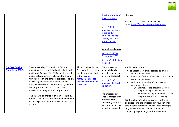

|                         |                                                 |                                | the vital interests of                     | Cheshire                                             |
|-------------------------|-------------------------------------------------|--------------------------------|--------------------------------------------|------------------------------------------------------|
|                         |                                                 |                                | the data subject;                          |                                                      |
|                         |                                                 |                                |                                            | Tel: 0303 123 1113 or 01625 545 745                  |
|                         |                                                 |                                |                                            | Email: https://ico.org.uk/global/contact-us/         |
|                         |                                                 |                                | Article $9(2)$ (b) –                       |                                                      |
|                         |                                                 |                                | processing necessary                       |                                                      |
|                         |                                                 |                                | in the field of                            |                                                      |
|                         |                                                 |                                | employment, social                         |                                                      |
|                         |                                                 |                                | security and social                        |                                                      |
|                         |                                                 |                                | protection law.                            |                                                      |
|                         |                                                 |                                |                                            |                                                      |
|                         |                                                 |                                |                                            |                                                      |
|                         |                                                 |                                | <b>Related Legislations:</b>               |                                                      |
|                         |                                                 |                                | Section 47 of The                          |                                                      |
|                         |                                                 |                                | Children Act 1989.                         |                                                      |
|                         |                                                 |                                | Section 45 of the Care                     |                                                      |
|                         |                                                 |                                | <b>Act 2014</b>                            |                                                      |
| <b>The Care Quality</b> | The Care Quality Commission (CQC) is a          | All records held by the        | The processing of                          | You have the right to:                               |
| <b>Commission (CQC)</b> | regulatory body established under the Health    | Practice will be kept for      | personal data is                           | • To access, view or request copies of your          |
|                         | and Social Care Act. The CQC regulates health   | the duration specified         | permitted under the                        | personal information;                                |
|                         | and social care services in England to ensure   | in the Records                 | following paragraph:                       | • request rectification of any inaccuracy in your    |
|                         | that safe health and care are provided. The law | <b>Management Codes of</b>     |                                            | personal information;                                |
|                         | allows CQC to access identifiable patient       | <b>Practice for Health and</b> | Article 6(1) (c) -<br>processing for legal | • restrict the processing of your personal           |
|                         | data/medical records in our clinical system for | <b>Social Care.</b>            | obligation;                                | information where:                                   |
|                         | the purposes of their assessment and            |                                |                                            | $\mathcal V$ accuracy of the data is contested,      |
|                         | investigation of significant safety incident.   |                                |                                            | $\mathbf{\checkmark}$ the processing is unlawful or, |
|                         |                                                 |                                | The processing of                          | where we no longer need the data for                 |
|                         | The data will be shared with the Care Quality   |                                | special categories of                      | the purposes of the processing.                      |
|                         | Commission, its officers and staff and members  |                                | personal data                              | Right to object: You have a general right to raise   |
|                         | of the inspection teams that visit us from time |                                | concerning health is                       | an objection to the processing of your personal      |
|                         | to time.                                        |                                | permitted under the                        | data in some particular circumstances. This right    |
|                         |                                                 |                                | following paragraph:                       | only applies where we cannot demonstrate             |
|                         |                                                 |                                |                                            | compelling legitimate grounds for continued          |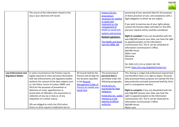

|                                                        | The source of the information shared in this<br>way is your electronic GP record.                                                                                                                                                                                                                                                                                                                                                                                                                                                                      |                                                                                                                                                                                         | Article 9 (2) (h) -<br>processing is<br>necessary for medical<br>or social care<br>treatment or, the<br>management of<br>health or social care<br>systems and services<br><b>Related Legislation:</b><br><b>The Health and Social</b><br>Care Act 2008, s64 | processing of your personal data for the purposes<br>of direct provision of care, and compliance with a<br>legal obligation to which we are subject.<br>If you wish to exercise any of your rights please<br>contact the Practice (data controller) or the DPO<br>and your request will be carefully considered.<br>Right to complain: If you are dissatisfied with the<br>way EdgCARE process your data, you have the right<br>to appeal/complain to the Information<br>Commissioner (IC). The IC can be contacted at:<br><b>Information Commissioner's Office</b><br><b>Wycliffe House</b><br>Water Lane<br>Wilmslow<br>Cheshire<br>Tel: 0303 123 1113 or 01625 545 745<br>Email: https://ico.org.uk/global/contact-us/ |
|--------------------------------------------------------|--------------------------------------------------------------------------------------------------------------------------------------------------------------------------------------------------------------------------------------------------------------------------------------------------------------------------------------------------------------------------------------------------------------------------------------------------------------------------------------------------------------------------------------------------------|-----------------------------------------------------------------------------------------------------------------------------------------------------------------------------------------|-------------------------------------------------------------------------------------------------------------------------------------------------------------------------------------------------------------------------------------------------------------|---------------------------------------------------------------------------------------------------------------------------------------------------------------------------------------------------------------------------------------------------------------------------------------------------------------------------------------------------------------------------------------------------------------------------------------------------------------------------------------------------------------------------------------------------------------------------------------------------------------------------------------------------------------------------------------------------------------------------|
| <b>Law Enforcement and</b><br><b>Regulatory Bodies</b> | In some circumstances the Practice may be<br>legally required to share personal information<br>with law enforcements and regulatory bodies<br>(without the consent of the data subject) such<br>as: the Police; Courts of Justice; HMRC and<br>DVLA for the purposes of prevention or<br>detection of crime; apprehension or<br>prosecution of offenders; the assessment or<br>collection of any tax or duty or, of any<br>imposition of a similar nature.<br>GPs are obliged to notify the DVLA when<br>fitness to drive requires notification but an | All records held by the<br>Practice will be kept for<br>the duration specified<br>in the Records<br><b>Management Codes of</b><br><b>Practice for Health and</b><br><b>Social Care.</b> | The processing of<br>personal data is<br>permitted under the<br>following paragraphs:<br>Article 6(1) (c) -<br>processing for legal<br>obligation;<br>Article 6(1) (e) - public<br>interest or in the<br>exercise of official<br>authority.                 | This sharing is a legal and professional requirement<br>and therefore there is no right to object. Personal<br>data processed these purposes are exempt the first<br>data protection principle (processed lawfully, fairly<br>and in a transparent manner).<br>Right to complain: If you are dissatisfied with the<br>way EdgCARE process your data, you have the<br>right to appeal/complain to the Information<br>Commissioner (IC). The IC can be contacted at:<br>Information Commissioner's Office<br><b>Wycliffe House</b><br>Water Lane                                                                                                                                                                            |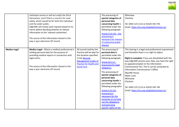

|                     | individual cannot or will not notify the DVLA<br>themselves, and if there is concern for road<br>safety, which would be for both the individual<br>and the wider public.<br>EdgCARE will review each request based on its<br>merits before deciding whether to release<br>information to the 'relevant authorities'.<br>The source of the information shared in this<br>way is your electronic GP record. |                                                                                                                                                                                         | The processing of<br>special categories of<br>personal data<br>concerning health is<br>permitted under the<br>following paragraph:<br>Article $9(2)(6)$ - the<br>processing is<br>necessary for reasons<br>of substantial public<br>interest                                                                                                                                                                                                    | Wilmslow<br>Cheshire<br>Tel: 0303 123 1113 or 01625 545 745<br>Email: https://ico.org.uk/global/contact-us/                                                                                                                                                                                                                                                                                                                                                                                                        |
|---------------------|-----------------------------------------------------------------------------------------------------------------------------------------------------------------------------------------------------------------------------------------------------------------------------------------------------------------------------------------------------------------------------------------------------------|-----------------------------------------------------------------------------------------------------------------------------------------------------------------------------------------|-------------------------------------------------------------------------------------------------------------------------------------------------------------------------------------------------------------------------------------------------------------------------------------------------------------------------------------------------------------------------------------------------------------------------------------------------|--------------------------------------------------------------------------------------------------------------------------------------------------------------------------------------------------------------------------------------------------------------------------------------------------------------------------------------------------------------------------------------------------------------------------------------------------------------------------------------------------------------------|
| <b>Medico-Legal</b> | Medico-Legal - Where a medical professional is<br>holding personal data for the purpose of<br>providing medical reports in connection with<br>legal action.<br>The source of the information shared in this<br>way is your electronic GP record.                                                                                                                                                          | All records held by the<br>Practice will be kept for<br>the duration specified<br>in the Records<br><b>Management Codes of</b><br><b>Practice for Health and</b><br><b>Social Care.</b> | The processing of<br>personal data is<br>permitted under the<br>following paragraph:<br>Article 6(1) (c) -<br>processing for legal<br>obligation;<br>The processing of<br>special categories of<br>personal data<br>concerning health is<br>permitted under the<br>following paragraphs:<br>Article 9 (2) (b):<br>processing is<br>necessary for the<br>purposes of carrying<br>out the obligations<br>and exercising<br>specific rights of the | This sharing is a legal and professional requirement<br>and therefore there is no right to object.<br>Right to complain: If you are dissatisfied with the<br>way EdgCARE process your data, you have the right<br>to appeal/complain to the Information<br>Commissioner (IC). The IC can be contacted at:<br><b>Information Commissioner's Office</b><br><b>Wycliffe House</b><br><b>Water Lane</b><br>Wilmslow<br>Cheshire<br>Tel: 0303 123 1113 or 01625 545 745<br>Email: https://ico.org.uk/global/contact-us/ |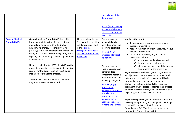

|                                                |                                                                                                                                                                                                                                                                                                                                                                                                                                                                                                                                                                                                                                                 |                                                                                                                                                                                         | controller or of the<br>data subject<br>Art.18 (2): Processing<br>for the establishment,<br>exercise or defence of<br>legal claims.                                                                                                                                                                                                                                                                                                                               |                                                                                                                                                                                                                                                                                                                                                                                                                                                                                                                                                                                                                                                                                                                                                                                                                                                                                                                                                                                                                                                                                                      |
|------------------------------------------------|-------------------------------------------------------------------------------------------------------------------------------------------------------------------------------------------------------------------------------------------------------------------------------------------------------------------------------------------------------------------------------------------------------------------------------------------------------------------------------------------------------------------------------------------------------------------------------------------------------------------------------------------------|-----------------------------------------------------------------------------------------------------------------------------------------------------------------------------------------|-------------------------------------------------------------------------------------------------------------------------------------------------------------------------------------------------------------------------------------------------------------------------------------------------------------------------------------------------------------------------------------------------------------------------------------------------------------------|------------------------------------------------------------------------------------------------------------------------------------------------------------------------------------------------------------------------------------------------------------------------------------------------------------------------------------------------------------------------------------------------------------------------------------------------------------------------------------------------------------------------------------------------------------------------------------------------------------------------------------------------------------------------------------------------------------------------------------------------------------------------------------------------------------------------------------------------------------------------------------------------------------------------------------------------------------------------------------------------------------------------------------------------------------------------------------------------------|
| <b>General Medical</b><br><b>Council (GMC)</b> | <b>General Medical Council (GMC) is a public</b><br>body that maintains the official register of<br>medical practitioners within the United<br>Kingdom. Its primary responsibility is 'to<br>protect, promote and maintain the health and<br>safety of the public' by controlling entry to the<br>register, and suspending or removing members<br>when necessary.<br>Under the Medical Act 1983, the GMC has the<br>power to request access to a patient's medical<br>records for the purposes of an investigation<br>into a doctor's fitness to practise.<br>The source of the information shared in this<br>way is your electronic GP record. | All records held by the<br>Practice will be kept for<br>the duration specified<br>in the Records<br><b>Management Codes of</b><br><b>Practice for Health and</b><br><b>Social Care.</b> | The processing of<br>personal data is<br>permitted under the<br>following paragraph:<br>Article 6(1) (c) -<br>processing for legal<br>obligation;<br>The processing of<br>special categories of<br>personal data<br>concerning health is<br>permitted under the<br>following paragraph:<br>Article 9 (2) (h) -<br>processing is<br>necessary for medical<br>or social care<br>treatment or, the<br>management of<br>health or social care<br>systems and services | You have the right to:<br>To access, view or request copies of your<br>personal information;<br>• request rectification of any inaccuracy in your<br>personal information;<br>• restrict the processing of your personal<br>information where:<br>$\mathcal V$ accuracy of the data is contested,<br>$\mathbf y$ the processing is unlawful or,<br>$\mathcal V$ where we no longer need the data for<br>the purposes of the processing.<br>Right to object: You have a general right to raise<br>an objection to the processing of your personal<br>data in some particular circumstances. This right<br>only applies where we cannot demonstrate<br>compelling legitimate grounds for continued<br>processing of your personal data for the purposes<br>of direct provision of care, and compliance with a<br>legal obligation to which we are subject.<br>Right to complain: If you are dissatisfied with the<br>way EdgCARE process your data, you have the right<br>to appeal/complain to the Information<br>Commissioner (IC). The IC can be contacted at:<br>Information Commissioner's Office |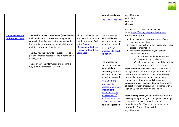

|                                                     |                                                                                                                                                                                                                                                                                                                                                                                                                                        |                                                                                                                                                                                        | <b>Related Legislation:</b><br>The Medical Act 1983                                                                                                                                                                                                                                                                                                                                                                                                                                              | <b>Wycliffe House</b><br>Water Lane<br>Wilmslow<br>Cheshire<br>Tel: 0303 123 1113 or 01625 545 745<br>Email: https://ico.org.uk/global/contact-us/                                                                                                                                                                                                                                                                                                                                                                                                                                                                                                                                                                                                                                                                                                                                                                                                                                                                                                                                                                                             |
|-----------------------------------------------------|----------------------------------------------------------------------------------------------------------------------------------------------------------------------------------------------------------------------------------------------------------------------------------------------------------------------------------------------------------------------------------------------------------------------------------------|----------------------------------------------------------------------------------------------------------------------------------------------------------------------------------------|--------------------------------------------------------------------------------------------------------------------------------------------------------------------------------------------------------------------------------------------------------------------------------------------------------------------------------------------------------------------------------------------------------------------------------------------------------------------------------------------------|------------------------------------------------------------------------------------------------------------------------------------------------------------------------------------------------------------------------------------------------------------------------------------------------------------------------------------------------------------------------------------------------------------------------------------------------------------------------------------------------------------------------------------------------------------------------------------------------------------------------------------------------------------------------------------------------------------------------------------------------------------------------------------------------------------------------------------------------------------------------------------------------------------------------------------------------------------------------------------------------------------------------------------------------------------------------------------------------------------------------------------------------|
| <b>The Health Service</b><br><b>Ombudsman (HSO)</b> | The Health Service Ombudsman (HSO) was set<br>up by Parliament to provide an independent<br>complaint handling service for complaints that<br>have not been resolved by the NHS in England<br>and UK government departments.<br>The HSO has the power to request access to a<br>patient's medical records for the purpose of an<br>investigation.<br>The source of the information shared in this<br>way is your electronic GP record. | All records held by the<br>Practice will be kept for<br>the duration specified<br>in the Records<br><b>Management Codes of</b><br><b>Practice for Health and</b><br><b>Social Care</b> | The processing of<br>personal data is<br>permitted under the<br>following paragraph:<br>Article 6(1) (c) -<br>processing for legal<br>obligation;<br>The processing of<br>special categories of<br>personal data<br>concerning health is<br>permitted under the<br>following paragraph:<br>Article 9 (2) (h) -<br>processing is<br>necessary for medical<br>or social care<br>treatment or, the<br>management of<br>health or social care<br>systems and services<br><b>Related Legislation:</b> | You have the right to:<br>• To access, view or request copies of your<br>personal information;<br>• request rectification of any inaccuracy in your<br>personal information;<br>• restrict the processing of your personal<br>information where:<br>$\swarrow$ accuracy of the data is contested,<br>$\mathbf{\checkmark}$ the processing is unlawful or,<br>$\mathcal V$ where we no longer need the data for<br>the purposes of the processing.<br>Right to object: You have a general right to raise<br>an objection to the processing of your personal<br>data in some particular circumstances. This right<br>only applies where we cannot demonstrate<br>compelling legitimate grounds for continued<br>processing of your personal data for the purposes<br>of direct provision of care, and compliance with a<br>legal obligation to which we are subject.<br>Right to complain: If you are dissatisfied with the<br>way EdgCARE process your data, you have the right<br>to appeal/complain to the Information<br>Commissioner (IC). The IC can be contacted at:<br><b>Information Commissioner's Office</b><br><b>Wycliffe House</b> |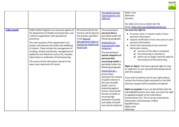

|                      |                                                                                                                                                                                                                                                                                                                                                                                                                                                                                                                                               |                                                                                                                                                                                        | <b>The Health Services</b><br><b>Commissioners Act</b><br>1993, s12                                                                                                                                                                                                                                                                                                                                                                                                                                                                                                                         | Water Lane<br>Wilmslow<br>Cheshire<br>Tel: 0303 123 1113 or 01625 545 745<br>Email: https://ico.org.uk/global/contact-us/                                                                                                                                                                                                                                                                                                                                                                                                                                                                                                                                                                                                                                                                                                                                                                                                                                                                                                                             |
|----------------------|-----------------------------------------------------------------------------------------------------------------------------------------------------------------------------------------------------------------------------------------------------------------------------------------------------------------------------------------------------------------------------------------------------------------------------------------------------------------------------------------------------------------------------------------------|----------------------------------------------------------------------------------------------------------------------------------------------------------------------------------------|---------------------------------------------------------------------------------------------------------------------------------------------------------------------------------------------------------------------------------------------------------------------------------------------------------------------------------------------------------------------------------------------------------------------------------------------------------------------------------------------------------------------------------------------------------------------------------------------|-------------------------------------------------------------------------------------------------------------------------------------------------------------------------------------------------------------------------------------------------------------------------------------------------------------------------------------------------------------------------------------------------------------------------------------------------------------------------------------------------------------------------------------------------------------------------------------------------------------------------------------------------------------------------------------------------------------------------------------------------------------------------------------------------------------------------------------------------------------------------------------------------------------------------------------------------------------------------------------------------------------------------------------------------------|
| <b>Public Health</b> | Public Health England is an executive agency of<br>the Department of Health and Social Care, and<br>a distinct organisation with operational<br>autonomy.<br>The main purpose of the organisation is to<br>protect and improve the health and wellbeing<br>of citizens. These include the management of<br>smoking, alcohol and obesity; management of<br>epidemics and infections such as flu, measles,<br>tuberculosis or outbreaks of food poisoning.<br>The source of the information shared in this<br>way is your electronic GP record. | All records held by the<br>Practice will be kept for<br>the duration specified<br>in the Records<br><b>Management Codes of</b><br><b>Practice for Health and</b><br><b>Social Care</b> | The processing of<br>personal data is<br>permitted under the<br>following paragraph:<br>Article 6(1) (c) -<br>processing for legal<br>obligation;<br>The processing of<br>special categories of<br>personal data<br>concerning health is<br>permitted under the<br>following paragraph:<br>Article $9(2)$ (b) –<br>processing is<br>necessary for reasons<br>of public interest in<br>the area of public<br>health, such as<br>protecting against<br>serious cross-border<br>threats to health or<br>ensuring high<br>standards of quality<br>and safety of health<br>care and of medicinal | You have the right to:<br>• To access, view or request copies of your<br>personal information;<br>• request rectification of any inaccuracy in your<br>personal information;<br>• restrict the processing of your personal<br>information where:<br>$\mathbf{\mathcal{V}}$ accuracy of the data is contested,<br>$\mathbf y$ the processing is unlawful or,<br>$\mathcal V$ where we no longer need the data for<br>the purposes of the processing.<br>Right to object: You have a general right to raise<br>an objection to your personal data being shared<br>with the recipient.<br>If you wish to exercise any of your rights please<br>contact the Practice (data controller) or the DPO<br>and your request will be carefully considered.<br>Right to complain: If you are dissatisfied with the<br>way EdgCARE process your data, you have the right<br>to appeal/complain to the Information<br>Commissioner (IC). The IC can be contacted at:<br><b>Information Commissioner's Office</b><br>Wycliffe House<br><b>Water Lane</b><br>Wilmslow |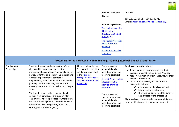

|                   |                                                                                                                                                                                                                                                                                                                                                                                                                                                                                    |                                                                                                                                                             | products or medical<br>devices.                                                                                                                                                                        | Cheshire                                                                                                                                                                                                                                                                                                                                                                                                                                                             |
|-------------------|------------------------------------------------------------------------------------------------------------------------------------------------------------------------------------------------------------------------------------------------------------------------------------------------------------------------------------------------------------------------------------------------------------------------------------------------------------------------------------|-------------------------------------------------------------------------------------------------------------------------------------------------------------|--------------------------------------------------------------------------------------------------------------------------------------------------------------------------------------------------------|----------------------------------------------------------------------------------------------------------------------------------------------------------------------------------------------------------------------------------------------------------------------------------------------------------------------------------------------------------------------------------------------------------------------------------------------------------------------|
|                   |                                                                                                                                                                                                                                                                                                                                                                                                                                                                                    |                                                                                                                                                             |                                                                                                                                                                                                        | Tel: 0303 123 1113 or 01625 545 745<br>Email: https://ico.org.uk/global/contact-us/                                                                                                                                                                                                                                                                                                                                                                                  |
|                   |                                                                                                                                                                                                                                                                                                                                                                                                                                                                                    |                                                                                                                                                             | <b>Related Legislations:</b>                                                                                                                                                                           |                                                                                                                                                                                                                                                                                                                                                                                                                                                                      |
|                   |                                                                                                                                                                                                                                                                                                                                                                                                                                                                                    |                                                                                                                                                             | <b>The Health Protection</b><br>(Notification)<br><b>Regulations 2010 (SI</b>                                                                                                                          |                                                                                                                                                                                                                                                                                                                                                                                                                                                                      |
|                   |                                                                                                                                                                                                                                                                                                                                                                                                                                                                                    |                                                                                                                                                             | 2010/659);                                                                                                                                                                                             |                                                                                                                                                                                                                                                                                                                                                                                                                                                                      |
|                   |                                                                                                                                                                                                                                                                                                                                                                                                                                                                                    |                                                                                                                                                             | <b>The Health Protection</b>                                                                                                                                                                           |                                                                                                                                                                                                                                                                                                                                                                                                                                                                      |
|                   |                                                                                                                                                                                                                                                                                                                                                                                                                                                                                    |                                                                                                                                                             | (Local Authority<br>Powers);                                                                                                                                                                           |                                                                                                                                                                                                                                                                                                                                                                                                                                                                      |
|                   |                                                                                                                                                                                                                                                                                                                                                                                                                                                                                    |                                                                                                                                                             |                                                                                                                                                                                                        |                                                                                                                                                                                                                                                                                                                                                                                                                                                                      |
|                   |                                                                                                                                                                                                                                                                                                                                                                                                                                                                                    |                                                                                                                                                             | <b>Regulations 2010 (SI</b><br>2010/657                                                                                                                                                                |                                                                                                                                                                                                                                                                                                                                                                                                                                                                      |
|                   |                                                                                                                                                                                                                                                                                                                                                                                                                                                                                    |                                                                                                                                                             |                                                                                                                                                                                                        | Processing for the Purposes of Commissioning, Planning, Research and Risk Stratification                                                                                                                                                                                                                                                                                                                                                                             |
| <b>Employment</b> | The Practice ensures the protection of the                                                                                                                                                                                                                                                                                                                                                                                                                                         | All records held by the                                                                                                                                     | The processing of                                                                                                                                                                                      | Employees have the right to:                                                                                                                                                                                                                                                                                                                                                                                                                                         |
| Processing        | rights and freedoms in respect of the<br>processing of its employees' personal data, in<br>particular for the purposes of the recruitment,<br>obligations performance contract of<br>employment, rights and benefits management<br>planning, health and safety, equality and<br>diversity in the workplace, health and safety at<br>work.<br>The Practice ensures that personal data it<br>collects from employees are used only for<br>employment related purposes or where there | Practice will be kept for<br>the duration specified<br>in the Records<br><b>Management Codes of</b><br><b>Practice for Health and</b><br><b>Social Care</b> | personal data is<br>permitted under the<br>following paragraph:<br>Article 6(1) (e) - public<br>interest or in the<br>exercise of official<br>authority.<br>The processing of<br>special categories of | • To access, view or request copies of their<br>personal information held by the Practice;<br>• request rectification of any inaccuracy to their<br>personal information;<br>• restrict the processing of their personal<br>information where:<br>$\checkmark$ accuracy of the data is contested,<br>the processing is unlawful or,<br>where we no longer need the data for<br>the purposes of the processing.<br>Right to object: Employees have a general right to |
|                   | is a statutory obligation to share the personal                                                                                                                                                                                                                                                                                                                                                                                                                                    |                                                                                                                                                             | personal data is                                                                                                                                                                                       | raise an objection to the sharing personal data.                                                                                                                                                                                                                                                                                                                                                                                                                     |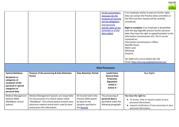

|                                                                                                                                        |                                                                                                                                                                                                                                  |                                                                                                            | (2) (b): processing is<br>necessary for the<br>purposes of carrying<br>out the obligations<br>and exercising<br>specific rights of the<br>controller or of the<br>data subject | If an employee wishes to exercise his/her rights<br>they can contact the Practice (data controller) or<br>the DPO and their request will be carefully<br>considered.<br>Right to complain: If an employee is dissatisfied<br>with the way EdgCARE process his/her personal<br>data, they have the right to appeal/complain to the<br>Information Commissioner (IC). The IC can be<br>contacted at:<br>Information Commissioner's Office<br><b>Wycliffe House</b><br><b>Water Lane</b><br>Wilmslow<br>Cheshire<br>Tel: 0303 123 1113 or 01625 545 745<br>Email: https://ico.org.uk/global/contact-us/ |
|----------------------------------------------------------------------------------------------------------------------------------------|----------------------------------------------------------------------------------------------------------------------------------------------------------------------------------------------------------------------------------|------------------------------------------------------------------------------------------------------------|--------------------------------------------------------------------------------------------------------------------------------------------------------------------------------|------------------------------------------------------------------------------------------------------------------------------------------------------------------------------------------------------------------------------------------------------------------------------------------------------------------------------------------------------------------------------------------------------------------------------------------------------------------------------------------------------------------------------------------------------------------------------------------------------|
|                                                                                                                                        |                                                                                                                                                                                                                                  |                                                                                                            | <b>Data Processors</b>                                                                                                                                                         |                                                                                                                                                                                                                                                                                                                                                                                                                                                                                                                                                                                                      |
| System/database<br><b>Recipients or</b><br>categories of<br>recipients of the<br>personal or special<br>categories of<br>personal data | Purpose of the processing & Data Retention<br>Period                                                                                                                                                                             | <b>Data Retention Period</b>                                                                               | <b>Lawful basis</b><br><b>General Data</b><br>Protection<br><b>Regulation</b><br>Article 6 -<br>Article 9-                                                                     | <b>Your Rights</b>                                                                                                                                                                                                                                                                                                                                                                                                                                                                                                                                                                                   |
| <b>Medical Management</b><br><b>Systems MMS</b><br>(Meddbase clinical<br>system)                                                       | Medical Management Systems are responsible<br>for the provision of a clinical system called<br>"Meddbase". This clinical system contains your<br>electronic medical record and is used to store<br>and process this information. | All records held in the<br>Practice EMIS system<br>be kept for the<br>duration specified in<br>the Records | The processing of<br>personal data is<br>permitted under the<br>following paragraph:                                                                                           | You have the right to:<br>• To access, view or request copies of your<br>personal information;<br>• request rectification of any inaccuracy in your<br>personal information;                                                                                                                                                                                                                                                                                                                                                                                                                         |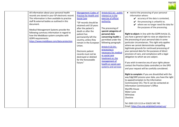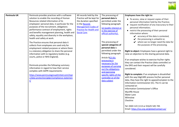

**EdgCARE**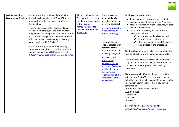

| <b>Paris Partnership</b><br><b>Accountancy Services</b> | Paris Partnership provides EdgCARE with<br>Payroll services and as such EdgCARE shares<br>data pertaining to employees with Paris<br>Partnership.<br>The Practice ensures that personal data it<br>collects from employees are used only for<br>employment related purposes or where there<br>is a statutory obligation to share the personal<br>information with to regulatory bodies (e.g.<br>courts, police or NHS England).<br>Paris Partnership provides the following<br>summary information in regard to how their<br>service complies with GDPR requirements:<br>https://www.parispartnership.com/disclaimer | All records held by the<br>Practice will be kept for<br>the duration specified<br>in the Records<br><b>Management Codes of</b><br><b>Practice for Health and</b><br><b>Social Care.</b> | The processing of<br>personal data is<br>permitted under the<br>following paragraph:<br>(e) (public interest or<br>in the exercise of<br>official authority).<br>The processing of<br>special categories of<br>personal data is<br>permitted under the<br>following paragraph:<br>Article 9(2) (b):<br>processing is<br>necessary for the<br>purposes of carrying<br>out the obligations<br>and exercising<br>specific rights of the<br>controller or of the<br>data subject | Employees have the right to:<br>• To access, view or request copies of their<br>personal information held by the Practice;<br>• request rectification of any inaccuracy to their<br>personal information;<br>• restrict the processing of their personal<br>information where:<br>$\checkmark$ accuracy of the data is contested,<br>$\blacktriangleright$ the processing is unlawful or,<br>where we no longer need the data for<br>the purposes of the processing.<br>Right to object: Employees have a general right to<br>raise an objection to the sharing personal data.<br>If an employee wishes to exercise his/her rights<br>they can contact the Practice (data controller) or<br>the DPO and their request will be carefully<br>considered.<br>Right to complain: If an employee is dissatisfied<br>with the way EdgCARE process his/her personal<br>data, they have the right to appeal/complain to the<br>Information Commissioner (IC). The IC can be<br>contacted at:<br>Information Commissioner's Office<br><b>Wycliffe House</b><br><b>Water Lane</b><br>Wilmslow<br>Cheshire<br>Tel: 0303 123 1113 or 01625 545 745<br>Email: https://ico.org.uk/global/contact-us/ |
|---------------------------------------------------------|----------------------------------------------------------------------------------------------------------------------------------------------------------------------------------------------------------------------------------------------------------------------------------------------------------------------------------------------------------------------------------------------------------------------------------------------------------------------------------------------------------------------------------------------------------------------------------------------------------------------|-----------------------------------------------------------------------------------------------------------------------------------------------------------------------------------------|------------------------------------------------------------------------------------------------------------------------------------------------------------------------------------------------------------------------------------------------------------------------------------------------------------------------------------------------------------------------------------------------------------------------------------------------------------------------------|----------------------------------------------------------------------------------------------------------------------------------------------------------------------------------------------------------------------------------------------------------------------------------------------------------------------------------------------------------------------------------------------------------------------------------------------------------------------------------------------------------------------------------------------------------------------------------------------------------------------------------------------------------------------------------------------------------------------------------------------------------------------------------------------------------------------------------------------------------------------------------------------------------------------------------------------------------------------------------------------------------------------------------------------------------------------------------------------------------------------------------------------------------------------------------------|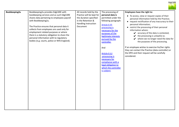

| Bookkeeping2u | Bookkeeping2u provides EdgCARE with<br>bookkeeping services and as such EdgCARE<br>shares data pertaining to employees payroll<br>with Bookkeeping2u.                                                                                                                      | All records held by the<br>Practice will be kept for<br>the duration specified<br>in the Retention &<br>Handling Instruction | The processing of<br>personal data is<br>permitted under the<br>following paragraph:                                                       | Employees have the right to:<br>• To access, view or request copies of their<br>personal information held by the Practice;<br>• request rectification of any inaccuracy to their<br>personal information;                                                |
|---------------|----------------------------------------------------------------------------------------------------------------------------------------------------------------------------------------------------------------------------------------------------------------------------|------------------------------------------------------------------------------------------------------------------------------|--------------------------------------------------------------------------------------------------------------------------------------------|----------------------------------------------------------------------------------------------------------------------------------------------------------------------------------------------------------------------------------------------------------|
|               | The Practice ensures that personal data it<br>collects from employees are used only for<br>employment related purposes or where<br>there is a statutory obligation to share the<br>personal information with to regulatory<br>bodies (e.g. courts, police or NHS England). | Document                                                                                                                     | Article 6 (f)<br>processing is<br>necessary for the<br>purposes of the<br>legitimate interests<br>pursued by the<br>controller.            | • restrict the processing of their personal<br>information where:<br>$\swarrow$ accuracy of the data is contested,<br>$\mathbf y$ the processing is unlawful or,<br>$\mathcal V$ where we no longer need the data for<br>the purposes of the processing. |
|               |                                                                                                                                                                                                                                                                            |                                                                                                                              | And<br>Article 6 (c)<br>-processing is<br>necessary for<br>compliance with a<br>legal obligation to<br>which the controller<br>is subject: | If an employee wishes to exercise his/her rights<br>they can contact the Practice (data controller) or<br>the DPO and their request will be carefully<br>considered.                                                                                     |
|               |                                                                                                                                                                                                                                                                            |                                                                                                                              |                                                                                                                                            |                                                                                                                                                                                                                                                          |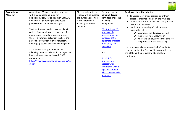

| Accountancy    | <b>Accountancy Manager provides practices</b> | All records held by the   | The processing of    | Employees have the right to:                                                    |
|----------------|-----------------------------------------------|---------------------------|----------------------|---------------------------------------------------------------------------------|
| <b>Manager</b> | with a cloud-based solution for               | Practice will be kept for | personal data is     |                                                                                 |
|                | bookkeeping services and as such EdgCARE      | the duration specified    | permitted under the  | • To access, view or request copies of their                                    |
|                | uploads data pertaining to employees          | in the Retention &        | following            | personal information held by the Practice;                                      |
|                | payroll onto Accountancy Manager.             | Handling Instruction      | paragraphs:          | • request rectification of any inaccuracy to their                              |
|                |                                               | Document                  |                      | personal information;                                                           |
|                | The Practice ensures that personal data it    |                           | GDPR Article 6 (f) - | • restrict the processing of their personal                                     |
|                | collects from employees are used only for     |                           | processing is        | information where:                                                              |
|                | employment related purposes or where          |                           | necessary for the    | $\swarrow$ accuracy of the data is contested,<br>the processing is unlawful or, |
|                | there is a statutory obligation to share the  |                           | purposes of the      |                                                                                 |
|                | personal information with to regulatory       |                           | legitimate interests | where we no longer need the data for                                            |
|                | bodies (e.g. courts, police or NHS England).  |                           | pursued by the       | the purposes of the processing.                                                 |
|                |                                               |                           | controller           | If an employee wishes to exercise his/her rights                                |
|                | Accountancy Manager provides the              |                           |                      | they can contact the Practice (data controller) or                              |
|                | following summary information in regard to    |                           | And                  | the DPO and their request will be carefully                                     |
|                | how their service complies with GDPR          |                           |                      | considered.                                                                     |
|                | requirements:                                 |                           | Article 6 (c)        |                                                                                 |
|                | https://www.accountancymanager.co.uk/se       |                           | -processing is       |                                                                                 |
|                | curity                                        |                           | necessary for        |                                                                                 |
|                |                                               |                           | compliance with a    |                                                                                 |
|                |                                               |                           | legal obligation to  |                                                                                 |
|                |                                               |                           | which the controller |                                                                                 |
|                |                                               |                           | is subject:          |                                                                                 |
|                |                                               |                           |                      |                                                                                 |
|                |                                               |                           |                      |                                                                                 |
|                |                                               |                           |                      |                                                                                 |
|                |                                               |                           |                      |                                                                                 |
|                |                                               |                           |                      |                                                                                 |
|                |                                               |                           |                      |                                                                                 |
|                |                                               |                           |                      |                                                                                 |
|                |                                               |                           |                      |                                                                                 |
|                |                                               |                           |                      |                                                                                 |
|                |                                               |                           |                      |                                                                                 |
|                |                                               |                           |                      |                                                                                 |
|                |                                               |                           |                      |                                                                                 |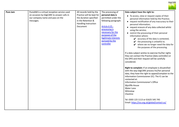

| All records held by the<br><b>Pure Jam</b><br>PureJAM is a virtual reception service used<br>The processing of<br>Data subject have the right to:                                                                                                                                                                                                                                                                                                                                                                                                                                                                                                                                                                                                                                                                                                                                                                                                                                                                                                                                                                                                                                                                                                                                                                                                                                                                                                                                                                                                           |  |
|-------------------------------------------------------------------------------------------------------------------------------------------------------------------------------------------------------------------------------------------------------------------------------------------------------------------------------------------------------------------------------------------------------------------------------------------------------------------------------------------------------------------------------------------------------------------------------------------------------------------------------------------------------------------------------------------------------------------------------------------------------------------------------------------------------------------------------------------------------------------------------------------------------------------------------------------------------------------------------------------------------------------------------------------------------------------------------------------------------------------------------------------------------------------------------------------------------------------------------------------------------------------------------------------------------------------------------------------------------------------------------------------------------------------------------------------------------------------------------------------------------------------------------------------------------------|--|
| Practice will be kept for<br>on occasion by EdgCARE to answer calls in<br>personal data is<br>• To access, view or request copies of their<br>our company name and pass on the<br>the duration specified<br>permitted under the<br>personal information held by the Practice;<br>in the Retention &<br>following paragraph:<br>messages.<br>• request rectification of any inaccuracy to their<br>Handling Instruction<br>personal information;<br>Document<br>Article $6(f)$ -<br>• request erasure of any data collected whilst<br>processing is<br>using the service;<br>necessary for the<br>• restrict the processing of their personal<br>purposes of the<br>information where:<br>legitimate interests<br>$\mathcal V$ accuracy of the data is contested,<br>pursued by the<br>$\mathbf{\checkmark}$ the processing is unlawful or,<br>controller<br>$\mathcal V$ where we no longer need the data for<br>the purposes of the processing.<br>If a data subject wishes to exercise his/her rights<br>they can contact the Practice (data controller) or<br>the DPO and their request will be carefully<br>considered.<br>Right to complain: If an employee is dissatisfied<br>with the way EdgCARE process his/her personal<br>data, they have the right to appeal/complain to the<br>Information Commissioner (IC). The IC can be<br>contacted at:<br><b>Information Commissioner's Office</b><br>Wycliffe House<br><b>Water Lane</b><br>Wilmslow<br>Cheshire<br>Tel: 0303 123 1113 or 01625 545 745<br>Email: https://ico.org.uk/global/contact-us/ |  |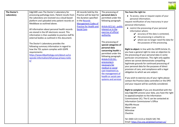

| The Doctor's | EdgCARE uses The Doctor's Laboratory for                                                                                                                                                                                                                                                                                                                                                                                                                                                                                                                                                                                                                        | All records held by the                                                                                                                                      | The processing of                                                                                                                                                                                                                                                                                                                                                                                                                                                        | You have the right to:                                                                                                                                                                                                                                                                                                                                                                                                                                                                                                                                                                                                                                                                                                                                                                                                                                                                                                                                                                                                                                                                                                                                                                                                                                                                                                                                                                                                                       |
|--------------|-----------------------------------------------------------------------------------------------------------------------------------------------------------------------------------------------------------------------------------------------------------------------------------------------------------------------------------------------------------------------------------------------------------------------------------------------------------------------------------------------------------------------------------------------------------------------------------------------------------------------------------------------------------------|--------------------------------------------------------------------------------------------------------------------------------------------------------------|--------------------------------------------------------------------------------------------------------------------------------------------------------------------------------------------------------------------------------------------------------------------------------------------------------------------------------------------------------------------------------------------------------------------------------------------------------------------------|----------------------------------------------------------------------------------------------------------------------------------------------------------------------------------------------------------------------------------------------------------------------------------------------------------------------------------------------------------------------------------------------------------------------------------------------------------------------------------------------------------------------------------------------------------------------------------------------------------------------------------------------------------------------------------------------------------------------------------------------------------------------------------------------------------------------------------------------------------------------------------------------------------------------------------------------------------------------------------------------------------------------------------------------------------------------------------------------------------------------------------------------------------------------------------------------------------------------------------------------------------------------------------------------------------------------------------------------------------------------------------------------------------------------------------------------|
| Laboratory   | processing pathology tests. Patient results from<br>the Laboratory are received via a cloud-based<br>platform and uploaded onto patient records on<br>Meddbase as outlined above.<br>All information about personal health records<br>are stored in the GP electronic record. This<br>information is then available to practice staff &<br>external bodies as outlined in this document.<br>The Doctor's Laboratory provides the<br>following summary information in regard to<br>how the TDL system complies with GDPR<br>requirements:<br>https://www.tdlpathology.com/about-us/co<br>rporate-information/tdl-group-privacy-notic<br>$\underline{\mathsf{e}}$ | Practice will be kept for<br>the duration specified<br>in the Records<br><b>Management Codes of</b><br><b>Practice for Health and</b><br><b>Social Care.</b> | personal data is<br>permitted under the<br>following paragraph:<br>Article 6(1) (e) - public<br>interest or in the<br>exercise of official<br>authority.<br>The processing of<br>special categories of<br>personal data<br>concerning health is<br>permitted under the<br>following paragraph:<br>Article 9 (2) (h) -<br>processing is<br>necessary for<br>medical or social<br>care treatment or.<br>the management of<br>health or social care<br>systems and services | • To access, view or request copies of your<br>personal information;<br>request rectification of any inaccuracy in your<br>personal information;<br>• restrict the processing of your personal<br>information where:<br>$\mathbf{\mathcal{V}}$ accuracy of the data is contested,<br>$\mathbf y$ the processing is unlawful or,<br>where we no longer need the data for<br>the purposes of the processing.<br>Right to object: In line with the GDPR Article 21,<br>you have a general right to raise an objection to<br>the processing of your personal data in some<br>particular circumstances. This right only applies<br>where we cannot demonstrate compelling<br>legitimate grounds for continued processing of<br>your personal data for the purposes of direct<br>provision of care, and compliance with a legal<br>obligation to which we are subject.<br>If you wish to exercise any of your rights please<br>contact the Practice (data controller) or the DPO<br>and your request will be carefully considered.<br>Right to complain: If you are dissatisfied with the<br>way EdgCARE process your data, you have the right<br>to appeal/complain to the Information<br>Commissioner (IC). The IC can be contacted at:<br><b>Information Commissioner's Office</b><br><b>Wycliffe House</b><br><b>Water Lane</b><br>Wilmslow<br>Cheshire<br>Tel: 0303 123 1113 or 01625 545 745<br>Email: https://ico.org.uk/global/contact-us/ |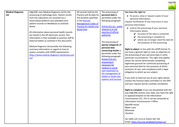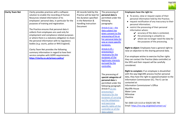

| <b>Clarity Team Net</b> | Clarity provides practices with a software                                                                                                                                                                                                                                                                                                                                                                                                                                                                                                                                                                                                                | All records held by the                                                                                       | The processing of                                                                                                                                                                                                                                                                                                                                   | Employees have the right to:                                                                                                                                                                                                                                                                                                                                                                                                                                                                                                                                                                                                                                                                                         |
|-------------------------|-----------------------------------------------------------------------------------------------------------------------------------------------------------------------------------------------------------------------------------------------------------------------------------------------------------------------------------------------------------------------------------------------------------------------------------------------------------------------------------------------------------------------------------------------------------------------------------------------------------------------------------------------------------|---------------------------------------------------------------------------------------------------------------|-----------------------------------------------------------------------------------------------------------------------------------------------------------------------------------------------------------------------------------------------------------------------------------------------------------------------------------------------------|----------------------------------------------------------------------------------------------------------------------------------------------------------------------------------------------------------------------------------------------------------------------------------------------------------------------------------------------------------------------------------------------------------------------------------------------------------------------------------------------------------------------------------------------------------------------------------------------------------------------------------------------------------------------------------------------------------------------|
|                         | solution to enable the recording of Human<br>Resources related information of its<br>employees' personal data, in particular for the<br>purposes of training and registration.<br>The Practice ensures that personal data it<br>collects from employees are used only for<br>employment and compliance related purposes<br>or where there is a statutory obligation to share<br>the personal information with to regulatory<br>bodies (e.g. courts, police or NHS England).<br>Clarity Team Net provides the following<br>summary information in regard to how their<br>service complies with GDPR requirements:<br>https://clarity.co.uk/privacy-policy/ | Practice will be kept for<br>the duration specified<br>in the Retention &<br>Handling Instruction<br>Document | personal data is<br>permitted under the<br>following<br>paragraphs:<br>Article 6 (a) - the<br>data subject has<br>given consent to the<br>processing of his or<br>her personal data for<br>one or more specific<br>purposes.<br>Article $6(f)$ –<br>processing is<br>necessary for the<br>purposes of the<br>legitimate interests<br>pursued by the | • To access, view or request copies of their<br>personal information held by the Practice;<br>• request rectification of any inaccuracy to their<br>personal information;<br>• restrict the processing of their personal<br>information where:<br>$\mathcal V$ accuracy of the data is contested,<br>$\mathbf{\checkmark}$ the processing is unlawful or,<br>$\mathcal V$ where we no longer need the data for<br>the purposes of the processing.<br>Right to object: Employees have a general right to<br>raise an objection to the sharing personal data.<br>If an employee wishes to exercise his/her rights<br>they can contact the Practice (data controller) or<br>the DPO and their request will be carefully |
|                         |                                                                                                                                                                                                                                                                                                                                                                                                                                                                                                                                                                                                                                                           |                                                                                                               | controller.<br>The processing of<br>special categories of<br>personal data is<br>permitted under the<br>following paragraph:<br>Article 9 (2) (b):<br>processing is<br>necessary for the<br>purposes of carrying<br>out the obligations<br>and exercising<br>specific rights of the<br>controller or of the<br>data subject                         | considered.<br>Right to complain: If an employee is dissatisfied<br>with the way EdgCARE process his/her personal<br>data, they have the right to appeal/complain to the<br>Information Commissioner (IC). The IC can be<br>contacted at:<br><b>Information Commissioner's Office</b><br><b>Wycliffe House</b><br><b>Water Lane</b><br>Wilmslow<br>Cheshire<br>Tel: 0303 123 1113 or 01625 545 745<br>Email: https://ico.org.uk/global/contact-us/                                                                                                                                                                                                                                                                   |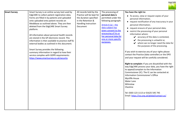

| <b>Smart Survey</b> | Smart Survey is an online survey tool used by                                                                                                                                                                                                                                                                                                                                                                                                                                                                                                                                                                               | All records held by the                                                                                       | The processing of                                                                                                                                                                                                         | You have the right to:                                                                                                                                                                                                                                                                                                                                                                                                                                                                                                                                                                                                                                                                                                                                                                                                                                                                                                                                                                                                         |
|---------------------|-----------------------------------------------------------------------------------------------------------------------------------------------------------------------------------------------------------------------------------------------------------------------------------------------------------------------------------------------------------------------------------------------------------------------------------------------------------------------------------------------------------------------------------------------------------------------------------------------------------------------------|---------------------------------------------------------------------------------------------------------------|---------------------------------------------------------------------------------------------------------------------------------------------------------------------------------------------------------------------------|--------------------------------------------------------------------------------------------------------------------------------------------------------------------------------------------------------------------------------------------------------------------------------------------------------------------------------------------------------------------------------------------------------------------------------------------------------------------------------------------------------------------------------------------------------------------------------------------------------------------------------------------------------------------------------------------------------------------------------------------------------------------------------------------------------------------------------------------------------------------------------------------------------------------------------------------------------------------------------------------------------------------------------|
|                     | EdgCARE to collect patient registration data.<br>Forms are filled in by patients and uploaded<br>onto uploaded onto patient records on<br>Meddbase as outlined above. They are then<br>deleted from the EdgCARE Smart Survey<br>platform.<br>All information about personal health records<br>are stored in the GP electronic record. This<br>information is then available to practice staff &<br>external bodies as outlined in this document.<br>Smart Survey provides the following<br>summary information in regard to how their<br>service complies with GDPR requirements:<br>https://www.smartsurvey.co.uk/security | Practice will be kept for<br>the duration specified<br>in the Retention &<br>Handling Instruction<br>Document | personal data is<br>permitted under the<br>following paragraph:<br>Article $6(a)$ - the<br>data subject has<br>given consent to the<br>processing of his or<br>her personal data for<br>one or more specific<br>purposes. | • To access, view or request copies of your<br>personal information;<br>• request rectification of any inaccuracy in your<br>personal information;<br>• request erasure of your personal data;<br>• restrict the processing of your personal<br>information where:<br>$\swarrow$ accuracy of the data is contested,<br>$\mathbf y$ the processing is unlawful or,<br>$\mathcal V$ where we no longer need the data for<br>the purposes of the processing.<br>If you wish to exercise any of your rights please<br>contact the Practice (data controller) or the DPO<br>and your request will be carefully considered.<br>Right to complain: If you are dissatisfied with the<br>way EdgCARE process your data, you have the right<br>to appeal/complain to the Information<br>Commissioner (IC). The IC can be contacted at:<br><b>Information Commissioner's Office</b><br><b>Wycliffe House</b><br>Water Lane<br>Wilmslow<br>Cheshire<br>Tel: 0303 123 1113 or 01625 545 745<br>Email: https://ico.org.uk/global/contact-us/ |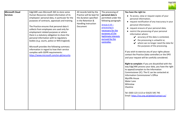

| Microsoft Cloud<br><b>Services</b> | EdgCARE uses Microsoft 365 to store some<br>Human Resources related information of its<br>employees' personal data, in particular for the<br>purposes of contracts, appraisals and training.<br>The Practice ensures that personal data it<br>collects from employees are used only for<br>employment related purposes or where<br>there is a statutory obligation to share the<br>personal information with to regulatory<br>bodies (e.g. courts, police or NHS England).<br>Microsoft provides the following summary<br>information in regard to how their service<br>complies with GDPR requirements:<br>https://www.microsoft.com/en-gb/security | All records held by the<br>Practice will be kept for<br>the duration specified<br>in the Retention &<br>Handling Instruction<br>Document | The processing of<br>personal data is<br>permitted under the<br>following paragraph:<br>Article $6(f)$ –<br>processing is<br>necessary for the<br>purposes of the<br>legitimate interests<br>pursued by the<br>controller. | You have the right to:<br>• To access, view or request copies of your<br>personal information;<br>• request rectification of any inaccuracy in your<br>personal information;<br>• request erasure of your personal data;<br>• restrict the processing of your personal<br>information where:<br>$\mathbf{\mathcal{V}}$ accuracy of the data is contested,<br>$\blacktriangleright$ the processing is unlawful or,<br>$\mathcal V$ where we no longer need the data for<br>the purposes of the processing.<br>If you wish to exercise any of your rights please<br>contact the Practice (data controller) or the DPO<br>and your request will be carefully considered.<br>Right to complain: If you are dissatisfied with the<br>way EdgCARE process your data, you have the right<br>to appeal/complain to the Information<br>Commissioner (IC). The IC can be contacted at:<br>Information Commissioner's Office |
|------------------------------------|------------------------------------------------------------------------------------------------------------------------------------------------------------------------------------------------------------------------------------------------------------------------------------------------------------------------------------------------------------------------------------------------------------------------------------------------------------------------------------------------------------------------------------------------------------------------------------------------------------------------------------------------------|------------------------------------------------------------------------------------------------------------------------------------------|----------------------------------------------------------------------------------------------------------------------------------------------------------------------------------------------------------------------------|-------------------------------------------------------------------------------------------------------------------------------------------------------------------------------------------------------------------------------------------------------------------------------------------------------------------------------------------------------------------------------------------------------------------------------------------------------------------------------------------------------------------------------------------------------------------------------------------------------------------------------------------------------------------------------------------------------------------------------------------------------------------------------------------------------------------------------------------------------------------------------------------------------------------|
|                                    |                                                                                                                                                                                                                                                                                                                                                                                                                                                                                                                                                                                                                                                      |                                                                                                                                          |                                                                                                                                                                                                                            | <b>Wycliffe House</b><br>Water Lane<br>Wilmslow<br>Cheshire<br>Tel: 0303 123 1113 or 01625 545 745<br>Email: https://ico.org.uk/global/contact-us/                                                                                                                                                                                                                                                                                                                                                                                                                                                                                                                                                                                                                                                                                                                                                                |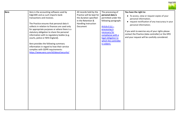

| Xero | Xero is the accounting software used by        | All records held by the   | The processing of    | You have the right to:                            |
|------|------------------------------------------------|---------------------------|----------------------|---------------------------------------------------|
|      | EdgCARE and as such imports bank               | Practice will be kept for | personal data is     | • To access, view or request copies of your       |
|      | transactions and invoices.                     | the duration specified    | permitted under the  | personal information;                             |
|      |                                                | in the Retention &        | following paragraph: | • request rectification of any inaccuracy in your |
|      | The Practice ensures that personal data it     | Handling Instruction      |                      | personal information;                             |
|      | collects in relation to finances are used only | Document                  | Article $6(c)$ –     |                                                   |
|      | for appropriate purposes or where there is a   |                           | processing is        | If you wish to exercise any of your rights please |
|      | statutory obligation to share the personal     |                           | necessary for        | contact the Practice (data controller) or the DPO |
|      | information with to regulatory bodies (e.g.    |                           | compliance with a    | and your request will be carefully considered.    |
|      | courts, police or NHS England).                |                           | legal obligation to  |                                                   |
|      |                                                |                           | which the controller |                                                   |
|      | Xero provides the following summary            |                           | is subject.          |                                                   |
|      | information in regard to how their service     |                           |                      |                                                   |
|      | complies with GDPR requirements:               |                           |                      |                                                   |
|      | https://www.xero.com/id/about/security/        |                           |                      |                                                   |
|      |                                                |                           |                      |                                                   |
|      |                                                |                           |                      |                                                   |
|      |                                                |                           |                      |                                                   |
|      |                                                |                           |                      |                                                   |
|      |                                                |                           |                      |                                                   |
|      |                                                |                           |                      |                                                   |
|      |                                                |                           |                      |                                                   |
|      |                                                |                           |                      |                                                   |
|      |                                                |                           |                      |                                                   |
|      |                                                |                           |                      |                                                   |
|      |                                                |                           |                      |                                                   |
|      |                                                |                           |                      |                                                   |
|      |                                                |                           |                      |                                                   |
|      |                                                |                           |                      |                                                   |
|      |                                                |                           |                      |                                                   |
|      |                                                |                           |                      |                                                   |
|      |                                                |                           |                      |                                                   |
|      |                                                |                           |                      |                                                   |
|      |                                                |                           |                      |                                                   |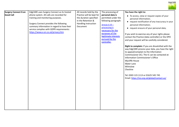

| Surgery Connect X-on | EdgCARE uses Surgery Connect as its hosted                                                                                                                                                                                                              | All records held by the                                                                                       | The processing of                                                                                                                                                                                     | You have the right to:                                                                                                                                                                                                                                                                                                                                                                                                                                                                                                                                                                                                                                                                                                                                       |
|----------------------|---------------------------------------------------------------------------------------------------------------------------------------------------------------------------------------------------------------------------------------------------------|---------------------------------------------------------------------------------------------------------------|-------------------------------------------------------------------------------------------------------------------------------------------------------------------------------------------------------|--------------------------------------------------------------------------------------------------------------------------------------------------------------------------------------------------------------------------------------------------------------------------------------------------------------------------------------------------------------------------------------------------------------------------------------------------------------------------------------------------------------------------------------------------------------------------------------------------------------------------------------------------------------------------------------------------------------------------------------------------------------|
| <b>Good Call</b>     | phone system. All calls are recorded for<br>training and monitoring purposes.<br>Surgery Connect provides the following<br>summary information in regard to how their<br>service complies with GDPR requirements:<br>https://www.x-on.co.uk/privacy.htm | Practice will be kept for<br>the duration specified<br>in the Retention &<br>Handling Instruction<br>Document | personal data is<br>permitted under the<br>following paragraph:<br>Article $6(f)$ –<br>processing is<br>necessary for the<br>purposes of the<br>legitimate interests<br>pursued by the<br>controller. | • To access, view or request copies of your<br>personal information;<br>• request rectification of any inaccuracy in your<br>personal information;<br>• request erasure of your personal data;<br>If you wish to exercise any of your rights please<br>contact the Practice (data controller) or the DPO<br>and your request will be carefully considered.<br>Right to complain: If you are dissatisfied with the<br>way EdgCARE process your data, you have the right<br>to appeal/complain to the Information<br>Commissioner (IC). The IC can be contacted at:<br>Information Commissioner's Office<br><b>Wycliffe House</b><br>Water Lane<br>Wilmslow<br>Cheshire<br>Tel: 0303 123 1113 or 01625 545 745<br>Email: https://ico.org.uk/global/contact-us/ |